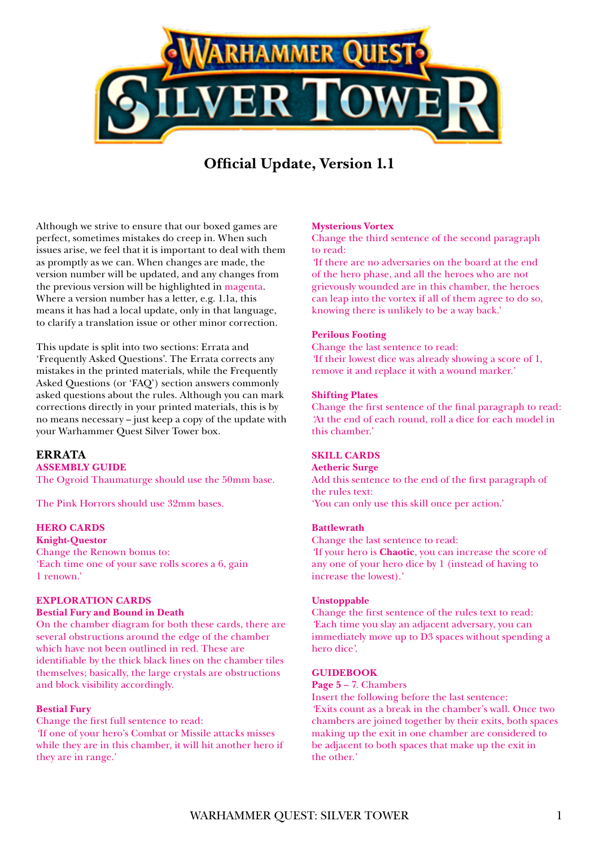

# **Official Update, Version 1.1**

Although we strive to ensure that our boxed games are perfect, sometimes mistakes do creep in. When such issues arise, we feel that it is important to deal with them as promptly as we can. When changes are made, the version number will be updated, and any changes from the previous version will be highlighted in magenta. Where a version number has a letter, e.g. 1.1a, this means it has had a local update, only in that language, to clarify a translation issue or other minor correction.

This update is split into two sections: Errata and 'Frequently Asked Questions'. The Errata corrects any mistakes in the printed materials, while the Frequently Asked Questions (or 'FAQ') section answers commonly asked questions about the rules. Although you can mark corrections directly in your printed materials, this is by no means necessary – just keep a copy of the update with your Warhammer Quest Silver Tower box.

# **ERRATA**

**ASSEMBLY GUIDE**

The Ogroid Thaumaturge should use the 50mm base.

The Pink Horrors should use 32mm bases.

# **HERO CARDS**

**Knight-Questor** Change the Renown bonus to: 'Each time one of your save rolls scores a 6, gain 1 renown.'

# **EXPLORATION CARDS**

### **Bestial Fury and Bound in Death**

On the chamber diagram for both these cards, there are several obstructions around the edge of the chamber which have not been outlined in red. These are identifiable by the thick black lines on the chamber tiles themselves; basically, the large crystals are obstructions and block visibility accordingly.

### **Bestial Fury**

Change the first full sentence to read: *'*If one of your hero's Combat or Missile attacks misses while they are in this chamber, it will hit another hero if they are in range.*'*

### **Mysterious Vortex**

Change the third sentence of the second paragraph to read:

*'*If there are no adversaries on the board at the end of the hero phase, and all the heroes who are not grievously wounded are in this chamber, the heroes can leap into the vortex if all of them agree to do so, knowing there is unlikely to be a way back.'

### **Perilous Footing**

Change the last sentence to read: *'*If their lowest dice was already showing a score of 1, remove it and replace it with a wound marker.*'*

#### **Shifting Plates**

Change the first sentence of the final paragraph to read: *'*At the end of each round, roll a dice for each model in this chamber.'

### **SKILL CARDS**

**Aetheric Surge** Add this sentence to the end of the first paragraph of the rules text:

'You can only use this skill once per action.'

#### **Battlewrath**

Change the last sentence to read: *'*If your hero is **Chaotic**, you can increase the score of any one of your hero dice by 1 (instead of having to increase the lowest).*'*

#### **Unstoppable**

Change the first sentence of the rules text to read: *'*Each time you slay an adjacent adversary, you can immediately move up to D3 spaces without spending a hero dice*'*.

### **GUIDEBOOK**

**Page 5** – 7. Chambers

Insert the following before the last sentence: *'*Exits count as a break in the chamber's wall. Once two chambers are joined together by their exits, both spaces making up the exit in one chamber are considered to be adjacent to both spaces that make up the exit in the other.*'*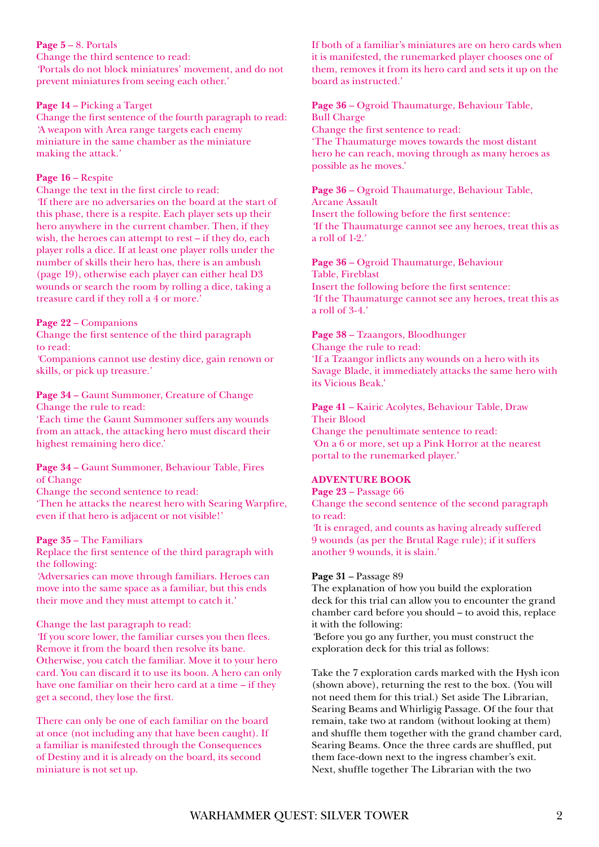# **Page 5** – 8. Portals

Change the third sentence to read: *'*Portals do not block miniatures' movement, and do not prevent miniatures from seeing each other.*'*

# **Page 14** – Picking a Target

Change the first sentence of the fourth paragraph to read: *'*A weapon with Area range targets each enemy miniature in the same chamber as the miniature making the attack.*'*

# **Page 16** – Respite

Change the text in the first circle to read: *'*If there are no adversaries on the board at the start of this phase, there is a respite. Each player sets up their hero anywhere in the current chamber. Then, if they wish, the heroes can attempt to rest – if they do, each player rolls a dice. If at least one player rolls under the number of skills their hero has, there is an ambush (page 19), otherwise each player can either heal D3 wounds or search the room by rolling a dice, taking a treasure card if they roll a 4 or more.*'*

# **Page 22** – Companions

Change the first sentence of the third paragraph to read:

*'*Companions cannot use destiny dice, gain renown or skills, or pick up treasure.*'*

### **Page 34** – Gaunt Summoner, Creature of Change Change the rule to read:

'Each time the Gaunt Summoner suffers any wounds from an attack, the attacking hero must discard their highest remaining hero dice.'

# **Page 34** – Gaunt Summoner, Behaviour Table, Fires of Change

Change the second sentence to read:

'Then he attacks the nearest hero with Searing Warpfire, even if that hero is adjacent or not visible!'

# **Page 35** – The Familiars

Replace the first sentence of the third paragraph with the following:

*'*Adversaries can move through familiars. Heroes can move into the same space as a familiar, but this ends their move and they must attempt to catch it.*'*

# Change the last paragraph to read:

*'*If you score lower, the familiar curses you then flees. Remove it from the board then resolve its bane. Otherwise, you catch the familiar. Move it to your hero card. You can discard it to use its boon. A hero can only have one familiar on their hero card at a time – if they get a second, they lose the first.

There can only be one of each familiar on the board at once (not including any that have been caught). If a familiar is manifested through the Consequences of Destiny and it is already on the board, its second miniature is not set up.

If both of a familiar's miniatures are on hero cards when it is manifested, the runemarked player chooses one of them, removes it from its hero card and sets it up on the board as instructed.*'*

# **Page 36** – Ogroid Thaumaturge, Behaviour Table, Bull Charge Change the first sentence to read:

'The Thaumaturge moves towards the most distant hero he can reach, moving through as many heroes as possible as he moves.'

# **Page 36** – Ogroid Thaumaturge, Behaviour Table, Arcane Assault Insert the following before the first sentence:

*'*If the Thaumaturge cannot see any heroes, treat this as a roll of 1-2.*'*

# **Page 36** – Ogroid Thaumaturge, Behaviour

Table, Fireblast Insert the following before the first sentence: *'*If the Thaumaturge cannot see any heroes, treat this as a roll of 3-4.*'*

# **Page 38** – Tzaangors, Bloodhunger

Change the rule to read: 'If a Tzaangor inflicts any wounds on a hero with its Savage Blade, it immediately attacks the same hero with its Vicious Beak.'

### **Page 41** – Kairic Acolytes, Behaviour Table, Draw Their Blood

Change the penultimate sentence to read: *'*On a 6 or more, set up a Pink Horror at the nearest portal to the runemarked player.*'*

# **ADVENTURE BOOK**

### **Page 23** – Passage 66

Change the second sentence of the second paragraph to read:

*'*It is enraged, and counts as having already suffered 9 wounds (as per the Brutal Rage rule); if it suffers another 9 wounds, it is slain.*'*

# **Page 31** – Passage 89

The explanation of how you build the exploration deck for this trial can allow you to encounter the grand chamber card before you should – to avoid this, replace it with the following:

*'*Before you go any further, you must construct the exploration deck for this trial as follows:

Take the 7 exploration cards marked with the Hysh icon (shown above), returning the rest to the box. (You will not need them for this trial.) Set aside The Librarian, Searing Beams and Whirligig Passage. Of the four that remain, take two at random (without looking at them) and shuffle them together with the grand chamber card, Searing Beams. Once the three cards are shuffled, put them face-down next to the ingress chamber's exit. Next, shuffle together The Librarian with the two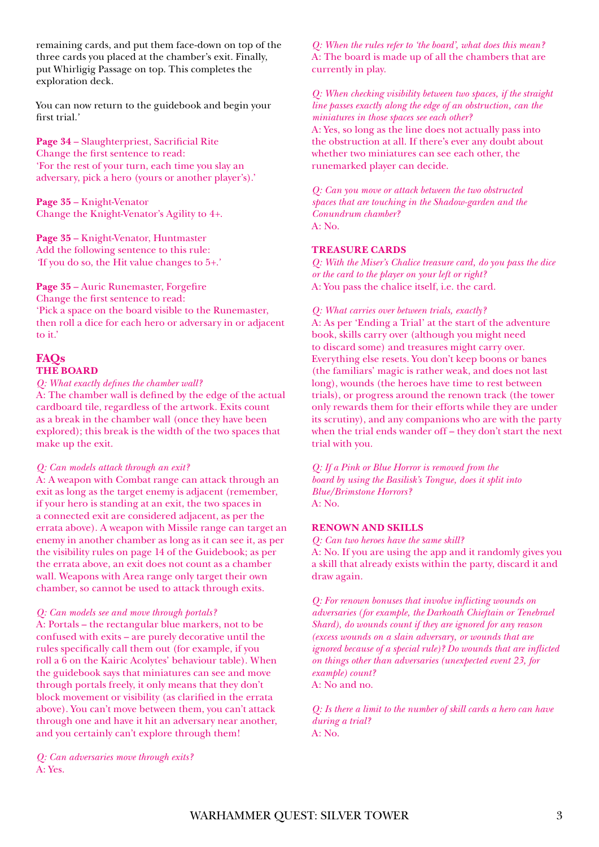remaining cards, and put them face-down on top of the three cards you placed at the chamber's exit. Finally, put Whirligig Passage on top. This completes the exploration deck.

You can now return to the guidebook and begin your first trial.*'*

**Page 34** – Slaughterpriest, Sacrificial Rite Change the first sentence to read: 'For the rest of your turn, each time you slay an adversary, pick a hero (yours or another player's).'

**Page 35** – Knight-Venator Change the Knight-Venator's Agility to 4+.

**Page 35** – Knight-Venator, Huntmaster Add the following sentence to this rule: *'*If you do so, the Hit value changes to 5+.*'*

**Page 35** – Auric Runemaster, Forgefire Change the first sentence to read: 'Pick a space on the board visible to the Runemaster, then roll a dice for each hero or adversary in or adjacent to it.'

# **FAQs THE BOARD**

*Q: What exactly defines the chamber wall?*

A: The chamber wall is defined by the edge of the actual cardboard tile, regardless of the artwork. Exits count as a break in the chamber wall (once they have been explored); this break is the width of the two spaces that make up the exit.

*Q: Can models attack through an exit?*

A: A weapon with Combat range can attack through an exit as long as the target enemy is adjacent (remember, if your hero is standing at an exit, the two spaces in a connected exit are considered adjacent, as per the errata above). A weapon with Missile range can target an enemy in another chamber as long as it can see it, as per the visibility rules on page 14 of the Guidebook; as per the errata above, an exit does not count as a chamber wall. Weapons with Area range only target their own chamber, so cannot be used to attack through exits.

### *Q: Can models see and move through portals?*

A: Portals – the rectangular blue markers, not to be confused with exits – are purely decorative until the rules specifically call them out (for example, if you roll a 6 on the Kairic Acolytes' behaviour table). When the guidebook says that miniatures can see and move through portals freely, it only means that they don't block movement or visibility (as clarified in the errata above). You can't move between them, you can't attack through one and have it hit an adversary near another, and you certainly can't explore through them!

*Q: Can adversaries move through exits?* A: Yes.

*Q: When the rules refer to 'the board', what does this mean?* A: The board is made up of all the chambers that are currently in play.

*Q: When checking visibility between two spaces, if the straight line passes exactly along the edge of an obstruction, can the miniatures in those spaces see each other?*

A: Yes, so long as the line does not actually pass into the obstruction at all. If there's ever any doubt about whether two miniatures can see each other, the runemarked player can decide.

*Q: Can you move or attack between the two obstructed spaces that are touching in the Shadow-garden and the Conundrum chamber?* A: No.

# **TREASURE CARDS**

*Q: With the Miser's Chalice treasure card, do you pass the dice or the card to the player on your left or right?* A: You pass the chalice itself, i.e. the card.

### *Q: What carries over between trials, exactly?*

A: As per 'Ending a Trial' at the start of the adventure book, skills carry over (although you might need to discard some) and treasures might carry over. Everything else resets. You don't keep boons or banes (the familiars' magic is rather weak, and does not last long), wounds (the heroes have time to rest between trials), or progress around the renown track (the tower only rewards them for their efforts while they are under its scrutiny), and any companions who are with the party when the trial ends wander off – they don't start the next trial with you.

*Q: If a Pink or Blue Horror is removed from the board by using the Basilisk's Tongue, does it split into Blue/Brimstone Horrors?* A: No.

### **RENOWN AND SKILLS**

*Q: Can two heroes have the same skill?*

A: No. If you are using the app and it randomly gives you a skill that already exists within the party, discard it and draw again.

*Q: For renown bonuses that involve inflicting wounds on adversaries (for example, the Darkoath Chieftain or Tenebrael Shard), do wounds count if they are ignored for any reason (excess wounds on a slain adversary, or wounds that are ignored because of a special rule)? Do wounds that are inflicted on things other than adversaries (unexpected event 23, for example) count?* A: No and no.

*Q: Is there a limit to the number of skill cards a hero can have during a trial?* A: No.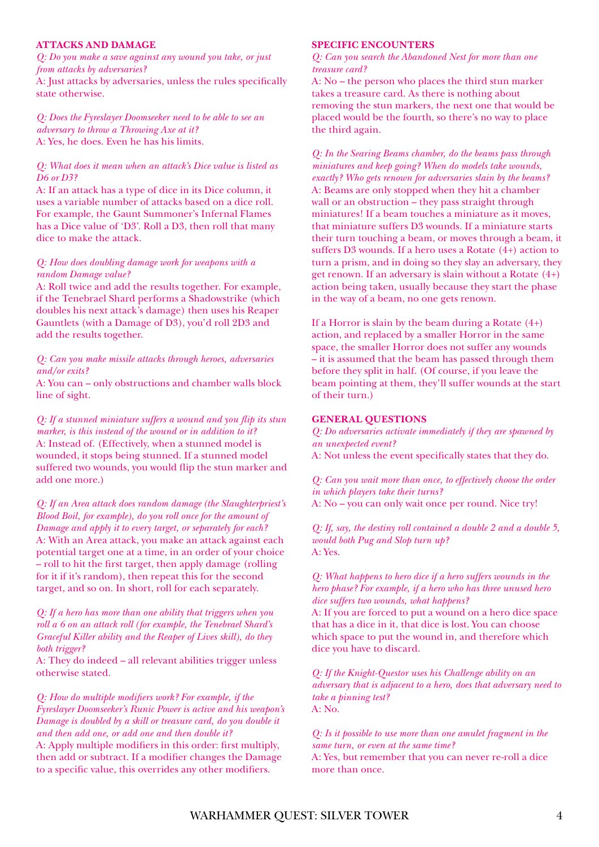### **ATTACKS AND DAMAGE**

*Q: Do you make a save against any wound you take, or just from attacks by adversaries?*

A: Just attacks by adversaries, unless the rules specifically state otherwise.

*Q: Does the Fyreslayer Doomseeker need to be able to see an adversary to throw a Throwing Axe at it?* A: Yes, he does. Even he has his limits.

# *Q: What does it mean when an attack's Dice value is listed as D6 or D3?*

A: If an attack has a type of dice in its Dice column, it uses a variable number of attacks based on a dice roll. For example, the Gaunt Summoner's Infernal Flames has a Dice value of 'D3'. Roll a D3, then roll that many dice to make the attack.

# *Q: How does doubling damage work for weapons with a random Damage value?*

A: Roll twice and add the results together. For example, if the Tenebrael Shard performs a Shadowstrike (which doubles his next attack's damage) then uses his Reaper Gauntlets (with a Damage of D3), you'd roll 2D3 and add the results together.

# *Q: Can you make missile attacks through heroes, adversaries and/or exits?*

A: You can – only obstructions and chamber walls block line of sight.

*Q: If a stunned miniature suffers a wound and you flip its stun marker, is this instead of the wound or in addition to it?* A: Instead of. (Effectively, when a stunned model is wounded, it stops being stunned. If a stunned model suffered two wounds, you would flip the stun marker and add one more.)

*Q: If an Area attack does random damage (the Slaughterpriest's Blood Boil, for example), do you roll once for the amount of Damage and apply it to every target, or separately for each?* A: With an Area attack, you make an attack against each potential target one at a time, in an order of your choice – roll to hit the first target, then apply damage (rolling for it if it's random), then repeat this for the second target, and so on. In short, roll for each separately.

*Q: If a hero has more than one ability that triggers when you roll a 6 on an attack roll (for example, the Tenebrael Shard's Graceful Killer ability and the Reaper of Lives skill), do they both trigger?*

A: They do indeed – all relevant abilities trigger unless otherwise stated.

*Q: How do multiple modifiers work? For example, if the Fyreslayer Doomseeker's Runic Power is active and his weapon's Damage is doubled by a skill or treasure card, do you double it and then add one, or add one and then double it?* A: Apply multiple modifiers in this order: first multiply,

then add or subtract. If a modifier changes the Damage to a specific value, this overrides any other modifiers.

# **SPECIFIC ENCOUNTERS**

*Q: Can you search the Abandoned Nest for more than one treasure card?*

A: No – the person who places the third stun marker takes a treasure card. As there is nothing about removing the stun markers, the next one that would be placed would be the fourth, so there's no way to place the third again.

*Q: In the Searing Beams chamber, do the beams pass through miniatures and keep going? When do models take wounds, exactly? Who gets renown for adversaries slain by the beams?* A: Beams are only stopped when they hit a chamber wall or an obstruction – they pass straight through miniatures! If a beam touches a miniature as it moves, that miniature suffers D3 wounds. If a miniature starts their turn touching a beam, or moves through a beam, it suffers D3 wounds. If a hero uses a Rotate (4+) action to turn a prism, and in doing so they slay an adversary, they get renown. If an adversary is slain without a Rotate (4+) action being taken, usually because they start the phase in the way of a beam, no one gets renown.

If a Horror is slain by the beam during a Rotate  $(4+)$ action, and replaced by a smaller Horror in the same space, the smaller Horror does not suffer any wounds – it is assumed that the beam has passed through them before they split in half. (Of course, if you leave the beam pointing at them, they'll suffer wounds at the start of their turn.)

### **GENERAL QUESTIONS**

*Q: Do adversaries activate immediately if they are spawned by an unexpected event?*

A: Not unless the event specifically states that they do.

*Q: Can you wait more than once, to effectively choose the order in which players take their turns?* A: No – you can only wait once per round. Nice try!

*Q: If, say, the destiny roll contained a double 2 and a double 5, would both Pug and Slop turn up?* A: Yes.

*Q: What happens to hero dice if a hero suffers wounds in the hero phase? For example, if a hero who has three unused hero dice suffers two wounds, what happens?* A: If you are forced to put a wound on a hero dice space that has a dice in it, that dice is lost. You can choose which space to put the wound in, and therefore which dice you have to discard.

*Q: If the Knight-Questor uses his Challenge ability on an adversary that is adjacent to a hero, does that adversary need to take a pinning test?* A: No.

*Q: Is it possible to use more than one amulet fragment in the same turn, or even at the same time?*

A: Yes, but remember that you can never re-roll a dice more than once.